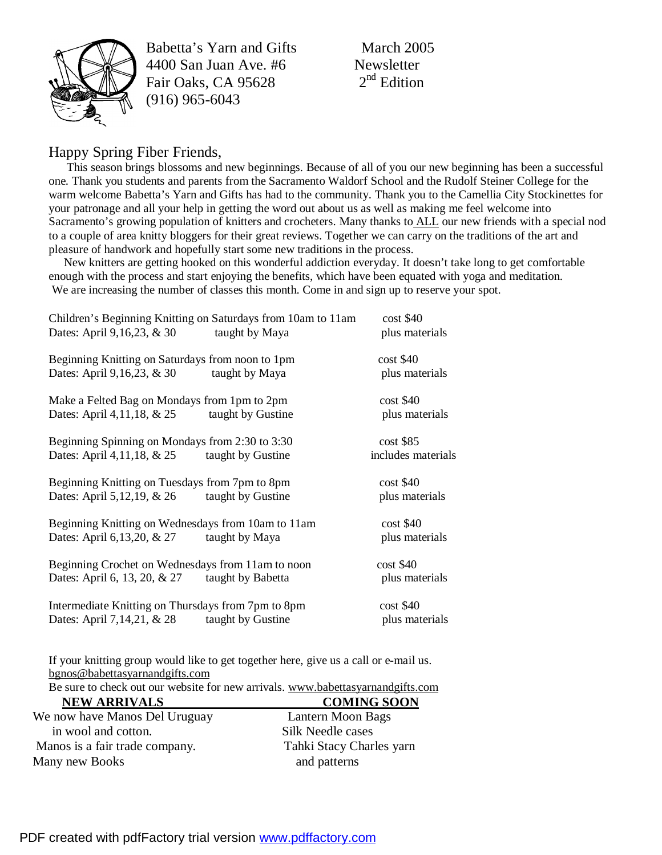

Babetta's Yarn and Gifts March 2005 4400 San Juan Ave.  $#6$  Newsletter<br>Fair Oaks. CA 95628 2<sup>nd</sup> Edition Fair Oaks, CA 95628 (916) 965-6043

## Happy Spring Fiber Friends,

This season brings blossoms and new beginnings. Because of all of you our new beginning has been a successful one. Thank you students and parents from the Sacramento Waldorf School and the Rudolf Steiner College for the warm welcome Babetta's Yarn and Gifts has had to the community. Thank you to the Camellia City Stockinettes for your patronage and all your help in getting the word out about us as well as making me feel welcome into Sacramento's growing population of knitters and crocheters. Many thanks to ALL our new friends with a special nod to a couple of area knitty bloggers for their great reviews. Together we can carry on the traditions of the art and pleasure of handwork and hopefully start some new traditions in the process.

New knitters are getting hooked on this wonderful addiction everyday. It doesn't take long to get comfortable enough with the process and start enjoying the benefits, which have been equated with yoga and meditation. We are increasing the number of classes this month. Come in and sign up to reserve your spot.

| Children's Beginning Knitting on Saturdays from 10am to 11am<br>Dates: April 9,16,23, & 30<br>taught by Maya | $\cos t$ \$40<br>plus materials   |
|--------------------------------------------------------------------------------------------------------------|-----------------------------------|
| Beginning Knitting on Saturdays from noon to 1pm<br>Dates: April 9,16,23, & 30<br>taught by Maya             | $cost$ \$40<br>plus materials     |
| Make a Felted Bag on Mondays from 1pm to 2pm<br>Dates: April 4, 11, 18, & 25<br>taught by Gustine            | $cost$ \$40<br>plus materials     |
| Beginning Spinning on Mondays from 2:30 to 3:30<br>Dates: April 4,11,18, $& 25$ taught by Gustine            | $cost$ \$85<br>includes materials |
| Beginning Knitting on Tuesdays from 7pm to 8pm<br>Dates: April 5, 12, 19, & 26<br>taught by Gustine          | $cost$ \$40<br>plus materials     |
| Beginning Knitting on Wednesdays from 10am to 11am<br>Dates: April 6,13,20, $& 27$ taught by Maya            | $cost$ \$40<br>plus materials     |
| Beginning Crochet on Wednesdays from 11am to noon<br>Dates: April 6, 13, 20, & 27<br>taught by Babetta       | $\cos t$ \$40<br>plus materials   |
| Intermediate Knitting on Thursdays from 7pm to 8pm<br>Dates: April 7, 14, 21, & 28<br>taught by Gustine      | $cost$ \$40<br>plus materials     |

If your knitting group would like to get together here, give us a call or e-mail us. [bgnos@babettasyarnandgifts.com](mailto:bgnos@babettasyarnandgifts.com)

Be sure to check out our website for new arrivals. [www.babettasyarnandgifts.com](http://www.babettasyarnandgifts.com)

| <b>NEW ARRIVALS</b>            | <b>COMING SOON</b>       |
|--------------------------------|--------------------------|
| We now have Manos Del Uruguay  | Lantern Moon Bags        |
| in wool and cotton.            | Silk Needle cases        |
| Manos is a fair trade company. | Tahki Stacy Charles yarn |
| Many new Books                 | and patterns             |